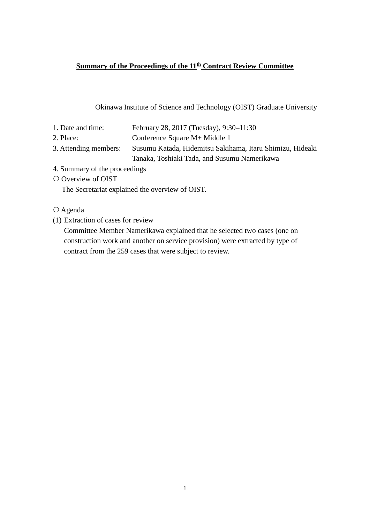### **<u>Summary of the Proceedings of the 11<sup>th</sup> Contract Review Committee</u>**

Okinawa Institute of Science and Technology (OIST) Graduate University

| 1. Date and time:     | February 28, 2017 (Tuesday), 9:30–11:30                   |
|-----------------------|-----------------------------------------------------------|
| 2. Place:             | Conference Square M+ Middle 1                             |
| 3. Attending members: | Susumu Katada, Hidemitsu Sakihama, Itaru Shimizu, Hideaki |
|                       | Tanaka, Toshiaki Tada, and Susumu Namerikawa              |

- 4. Summary of the proceedings
- O Overview of OIST

The Secretariat explained the overview of OIST.

Agenda

(1) Extraction of cases for review

Committee Member Namerikawa explained that he selected two cases (one on construction work and another on service provision) were extracted by type of contract from the 259 cases that were subject to review.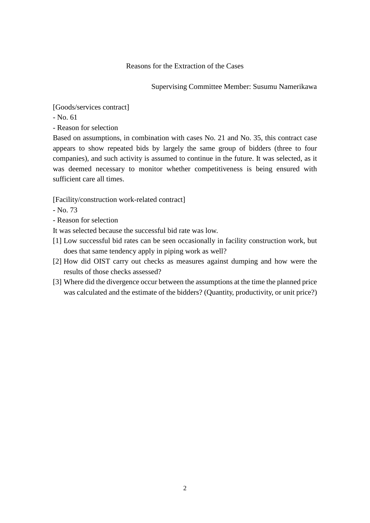Reasons for the Extraction of the Cases

Supervising Committee Member: Susumu Namerikawa

[Goods/services contract]

- No. 61

- Reason for selection

Based on assumptions, in combination with cases No. 21 and No. 35, this contract case appears to show repeated bids by largely the same group of bidders (three to four companies), and such activity is assumed to continue in the future. It was selected, as it was deemed necessary to monitor whether competitiveness is being ensured with sufficient care all times.

[Facility/construction work-related contract]

- No. 73

- Reason for selection

It was selected because the successful bid rate was low.

- [1] Low successful bid rates can be seen occasionally in facility construction work, but does that same tendency apply in piping work as well?
- [2] How did OIST carry out checks as measures against dumping and how were the results of those checks assessed?
- [3] Where did the divergence occur between the assumptions at the time the planned price was calculated and the estimate of the bidders? (Quantity, productivity, or unit price?)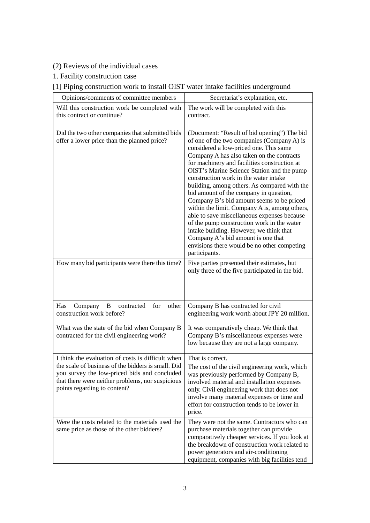## (2) Reviews of the individual cases

1. Facility construction case

## [1] Piping construction work to install OIST water intake facilities underground

| Opinions/comments of committee members                                                                                                                                                                                                      | Secretariat's explanation, etc.                                                                                                                                                                                                                                                                                                                                                                                                                                                                                                                                                                                                                                                                                                                               |
|---------------------------------------------------------------------------------------------------------------------------------------------------------------------------------------------------------------------------------------------|---------------------------------------------------------------------------------------------------------------------------------------------------------------------------------------------------------------------------------------------------------------------------------------------------------------------------------------------------------------------------------------------------------------------------------------------------------------------------------------------------------------------------------------------------------------------------------------------------------------------------------------------------------------------------------------------------------------------------------------------------------------|
| Will this construction work be completed with<br>this contract or continue?                                                                                                                                                                 | The work will be completed with this<br>contract.                                                                                                                                                                                                                                                                                                                                                                                                                                                                                                                                                                                                                                                                                                             |
| Did the two other companies that submitted bids<br>offer a lower price than the planned price?                                                                                                                                              | (Document: "Result of bid opening") The bid<br>of one of the two companies (Company A) is<br>considered a low-priced one. This same<br>Company A has also taken on the contracts<br>for machinery and facilities construction at<br>OIST's Marine Science Station and the pump<br>construction work in the water intake<br>building, among others. As compared with the<br>bid amount of the company in question,<br>Company B's bid amount seems to be priced<br>within the limit. Company A is, among others,<br>able to save miscellaneous expenses because<br>of the pump construction work in the water<br>intake building. However, we think that<br>Company A's bid amount is one that<br>envisions there would be no other competing<br>participants. |
| How many bid participants were there this time?                                                                                                                                                                                             | Five parties presented their estimates, but<br>only three of the five participated in the bid.                                                                                                                                                                                                                                                                                                                                                                                                                                                                                                                                                                                                                                                                |
| Has<br>Company<br>contracted<br>for<br>other<br>B<br>construction work before?                                                                                                                                                              | Company B has contracted for civil<br>engineering work worth about JPY 20 million.                                                                                                                                                                                                                                                                                                                                                                                                                                                                                                                                                                                                                                                                            |
| What was the state of the bid when Company B<br>contracted for the civil engineering work?                                                                                                                                                  | It was comparatively cheap. We think that<br>Company B's miscellaneous expenses were<br>low because they are not a large company.                                                                                                                                                                                                                                                                                                                                                                                                                                                                                                                                                                                                                             |
| I think the evaluation of costs is difficult when<br>the scale of business of the bidders is small. Did<br>you survey the low-priced bids and concluded<br>that there were neither problems, nor suspicious<br>points regarding to content? | That is correct.<br>The cost of the civil engineering work, which<br>was previously performed by Company B,<br>involved material and installation expenses<br>only. Civil engineering work that does not<br>involve many material expenses or time and<br>effort for construction tends to be lower in<br>price.                                                                                                                                                                                                                                                                                                                                                                                                                                              |
| Were the costs related to the materials used the<br>same price as those of the other bidders?                                                                                                                                               | They were not the same. Contractors who can<br>purchase materials together can provide<br>comparatively cheaper services. If you look at<br>the breakdown of construction work related to<br>power generators and air-conditioning<br>equipment, companies with big facilities tend                                                                                                                                                                                                                                                                                                                                                                                                                                                                           |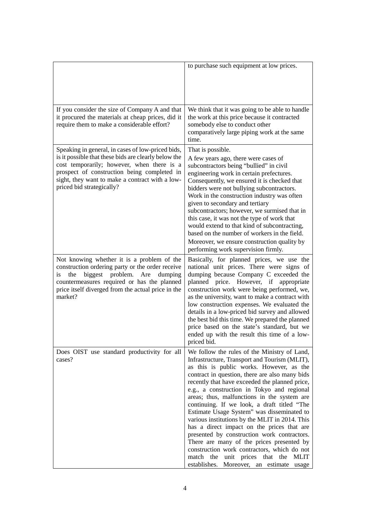|                                                                                                                                                                                                                                                                                        | to purchase such equipment at low prices.                                                                                                                                                                                                                                                                                                                                                                                                                                                                                                                                                                                                                                                                                                                                          |
|----------------------------------------------------------------------------------------------------------------------------------------------------------------------------------------------------------------------------------------------------------------------------------------|------------------------------------------------------------------------------------------------------------------------------------------------------------------------------------------------------------------------------------------------------------------------------------------------------------------------------------------------------------------------------------------------------------------------------------------------------------------------------------------------------------------------------------------------------------------------------------------------------------------------------------------------------------------------------------------------------------------------------------------------------------------------------------|
| If you consider the size of Company A and that<br>it procured the materials at cheap prices, did it<br>require them to make a considerable effort?                                                                                                                                     | We think that it was going to be able to handle<br>the work at this price because it contracted<br>somebody else to conduct other<br>comparatively large piping work at the same<br>time.                                                                                                                                                                                                                                                                                                                                                                                                                                                                                                                                                                                          |
| Speaking in general, in cases of low-priced bids,<br>is it possible that these bids are clearly below the<br>cost temporarily; however, when there is a<br>prospect of construction being completed in<br>sight, they want to make a contract with a low-<br>priced bid strategically? | That is possible.<br>A few years ago, there were cases of<br>subcontractors being "bullied" in civil<br>engineering work in certain prefectures.<br>Consequently, we ensured it is checked that<br>bidders were not bullying subcontractors.<br>Work in the construction industry was often<br>given to secondary and tertiary<br>subcontractors; however, we surmised that in<br>this case, it was not the type of work that<br>would extend to that kind of subcontracting,<br>based on the number of workers in the field.<br>Moreover, we ensure construction quality by<br>performing work supervision firmly.                                                                                                                                                                |
| Not knowing whether it is a problem of the<br>construction ordering party or the order receive<br>biggest problem. Are<br>the<br>dumping<br>is<br>countermeasures required or has the planned<br>price itself diverged from the actual price in the<br>market?                         | Basically, for planned prices, we use the<br>national unit prices. There were signs of<br>dumping because Company C exceeded the<br>planned price. However, if<br>appropriate<br>construction work were being performed, we,<br>as the university, want to make a contract with<br>low construction expenses. We evaluated the<br>details in a low-priced bid survey and allowed<br>the best bid this time. We prepared the planned<br>price based on the state's standard, but we<br>ended up with the result this time of a low-<br>priced bid.                                                                                                                                                                                                                                  |
| Does OIST use standard productivity for all<br>cases?                                                                                                                                                                                                                                  | We follow the rules of the Ministry of Land,<br>Infrastructure, Transport and Tourism (MLIT),<br>as this is public works. However, as the<br>contract in question, there are also many bids<br>recently that have exceeded the planned price,<br>e.g., a construction in Tokyo and regional<br>areas; thus, malfunctions in the system are<br>continuing. If we look, a draft titled "The<br>Estimate Usage System" was disseminated to<br>various institutions by the MLIT in 2014. This<br>has a direct impact on the prices that are<br>presented by construction work contractors.<br>There are many of the prices presented by<br>construction work contractors, which do not<br>unit prices that the<br><b>MLIT</b><br>match the<br>establishes. Moreover, an estimate usage |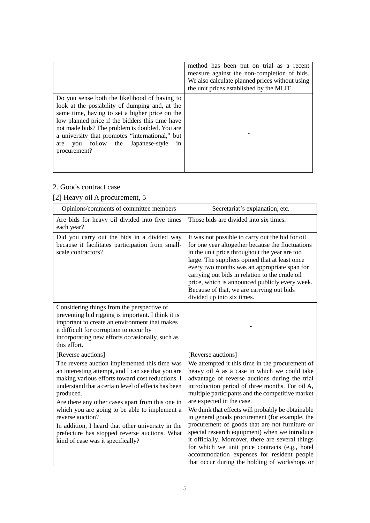|                                                                                                                                                                                                                                                                                                                                                                            | method has been put on trial as a recent<br>measure against the non-completion of bids.<br>We also calculate planned prices without using<br>the unit prices established by the MLIT. |
|----------------------------------------------------------------------------------------------------------------------------------------------------------------------------------------------------------------------------------------------------------------------------------------------------------------------------------------------------------------------------|---------------------------------------------------------------------------------------------------------------------------------------------------------------------------------------|
| Do you sense both the likelihood of having to<br>look at the possibility of dumping and, at the<br>same time, having to set a higher price on the<br>low planned price if the bidders this time have<br>not made bids? The problem is doubled. You are<br>a university that promotes "international," but<br>follow the Japanese-style<br>you<br>1n<br>are<br>procurement? |                                                                                                                                                                                       |

### 2. Goods contract case

# [2] Heavy oil A procurement, 5

| Opinions/comments of committee members                                                                                                                                                                                                                                                                                                                                                                                                                                                                                | Secretariat's explanation, etc.                                                                                                                                                                                                                                                                                                                                                                                                                                                                                                                                                                                                                                                                                             |
|-----------------------------------------------------------------------------------------------------------------------------------------------------------------------------------------------------------------------------------------------------------------------------------------------------------------------------------------------------------------------------------------------------------------------------------------------------------------------------------------------------------------------|-----------------------------------------------------------------------------------------------------------------------------------------------------------------------------------------------------------------------------------------------------------------------------------------------------------------------------------------------------------------------------------------------------------------------------------------------------------------------------------------------------------------------------------------------------------------------------------------------------------------------------------------------------------------------------------------------------------------------------|
| Are bids for heavy oil divided into five times<br>each year?                                                                                                                                                                                                                                                                                                                                                                                                                                                          | Those bids are divided into six times.                                                                                                                                                                                                                                                                                                                                                                                                                                                                                                                                                                                                                                                                                      |
| Did you carry out the bids in a divided way<br>because it facilitates participation from small-<br>scale contractors?                                                                                                                                                                                                                                                                                                                                                                                                 | It was not possible to carry out the bid for oil<br>for one year altogether because the fluctuations<br>in the unit price throughout the year are too<br>large. The suppliers opined that at least once<br>every two months was an appropriate span for<br>carrying out bids in relation to the crude oil<br>price, which is announced publicly every week.<br>Because of that, we are carrying out bids<br>divided up into six times.                                                                                                                                                                                                                                                                                      |
| Considering things from the perspective of<br>preventing bid rigging is important. I think it is<br>important to create an environment that makes<br>it difficult for corruption to occur by<br>incorporating new efforts occasionally, such as<br>this effort.                                                                                                                                                                                                                                                       |                                                                                                                                                                                                                                                                                                                                                                                                                                                                                                                                                                                                                                                                                                                             |
| [Reverse auctions]<br>The reverse auction implemented this time was<br>an interesting attempt, and I can see that you are<br>making various efforts toward cost reductions. I<br>understand that a certain level of effects has been<br>produced.<br>Are there any other cases apart from this one in<br>which you are going to be able to implement a<br>reverse auction?<br>In addition, I heard that other university in the<br>prefecture has stopped reverse auctions. What<br>kind of case was it specifically? | [Reverse auctions]<br>We attempted it this time in the procurement of<br>heavy oil A as a case in which we could take<br>advantage of reverse auctions during the trial<br>introduction period of three months. For oil A,<br>multiple participants and the competitive market<br>are expected in the case.<br>We think that effects will probably be obtainable<br>in general goods procurement (for example, the<br>procurement of goods that are not furniture or<br>special research equipment) when we introduce<br>it officially. Moreover, there are several things<br>for which we unit price contracts (e.g., hotel<br>accommodation expenses for resident people<br>that occur during the holding of workshops or |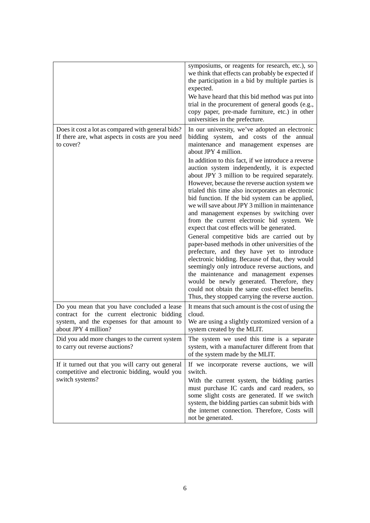|                                                                                                                                                                   | symposiums, or reagents for research, etc.), so<br>we think that effects can probably be expected if<br>the participation in a bid by multiple parties is<br>expected.<br>We have heard that this bid method was put into<br>trial in the procurement of general goods (e.g.,<br>copy paper, pre-made furniture, etc.) in other<br>universities in the prefecture.                                                                                                                                                                                                                                                                                                                                                                                                                                                                                                                                                                                                |
|-------------------------------------------------------------------------------------------------------------------------------------------------------------------|-------------------------------------------------------------------------------------------------------------------------------------------------------------------------------------------------------------------------------------------------------------------------------------------------------------------------------------------------------------------------------------------------------------------------------------------------------------------------------------------------------------------------------------------------------------------------------------------------------------------------------------------------------------------------------------------------------------------------------------------------------------------------------------------------------------------------------------------------------------------------------------------------------------------------------------------------------------------|
| Does it cost a lot as compared with general bids?<br>If there are, what aspects in costs are you need<br>to cover?                                                | In our university, we've adopted an electronic<br>bidding system, and costs of the annual<br>maintenance and management expenses are<br>about JPY 4 million.                                                                                                                                                                                                                                                                                                                                                                                                                                                                                                                                                                                                                                                                                                                                                                                                      |
|                                                                                                                                                                   | In addition to this fact, if we introduce a reverse<br>auction system independently, it is expected<br>about JPY 3 million to be required separately.<br>However, because the reverse auction system we<br>trialed this time also incorporates an electronic<br>bid function. If the bid system can be applied,<br>we will save about JPY 3 million in maintenance<br>and management expenses by switching over<br>from the current electronic bid system. We<br>expect that cost effects will be generated.<br>General competitive bids are carried out by<br>paper-based methods in other universities of the<br>prefecture, and they have yet to introduce<br>electronic bidding. Because of that, they would<br>seemingly only introduce reverse auctions, and<br>the maintenance and management expenses<br>would be newly generated. Therefore, they<br>could not obtain the same cost-effect benefits.<br>Thus, they stopped carrying the reverse auction. |
| Do you mean that you have concluded a lease<br>contract for the current electronic bidding<br>system, and the expenses for that amount to<br>about JPY 4 million? | It means that such amount is the cost of using the<br>cloud.<br>We are using a slightly customized version of a<br>system created by the MLIT.                                                                                                                                                                                                                                                                                                                                                                                                                                                                                                                                                                                                                                                                                                                                                                                                                    |
| Did you add more changes to the current system<br>to carry out reverse auctions?                                                                                  | The system we used this time is a separate<br>system, with a manufacturer different from that<br>of the system made by the MLIT.                                                                                                                                                                                                                                                                                                                                                                                                                                                                                                                                                                                                                                                                                                                                                                                                                                  |
| If it turned out that you will carry out general<br>competitive and electronic bidding, would you<br>switch systems?                                              | If we incorporate reverse auctions, we will<br>switch.<br>With the current system, the bidding parties<br>must purchase IC cards and card readers, so<br>some slight costs are generated. If we switch<br>system, the bidding parties can submit bids with<br>the internet connection. Therefore, Costs will<br>not be generated.                                                                                                                                                                                                                                                                                                                                                                                                                                                                                                                                                                                                                                 |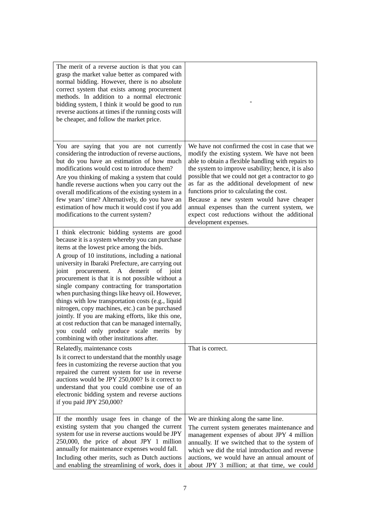| The merit of a reverse auction is that you can<br>grasp the market value better as compared with<br>normal bidding. However, there is no absolute<br>correct system that exists among procurement<br>methods. In addition to a normal electronic<br>bidding system, I think it would be good to run<br>reverse auctions at times if the running costs will<br>be cheaper, and follow the market price.                                                                                                                                                                                                                                                                                                                                                                 |                                                                                                                                                                                                                                                                                                                                                                                                                                                                                                                                |
|------------------------------------------------------------------------------------------------------------------------------------------------------------------------------------------------------------------------------------------------------------------------------------------------------------------------------------------------------------------------------------------------------------------------------------------------------------------------------------------------------------------------------------------------------------------------------------------------------------------------------------------------------------------------------------------------------------------------------------------------------------------------|--------------------------------------------------------------------------------------------------------------------------------------------------------------------------------------------------------------------------------------------------------------------------------------------------------------------------------------------------------------------------------------------------------------------------------------------------------------------------------------------------------------------------------|
| You are saying that you are not currently<br>considering the introduction of reverse auctions,<br>but do you have an estimation of how much<br>modifications would cost to introduce them?<br>Are you thinking of making a system that could<br>handle reverse auctions when you carry out the<br>overall modifications of the existing system in a<br>few years' time? Alternatively, do you have an<br>estimation of how much it would cost if you add<br>modifications to the current system?                                                                                                                                                                                                                                                                       | We have not confirmed the cost in case that we<br>modify the existing system. We have not been<br>able to obtain a flexible handling with repairs to<br>the system to improve usability; hence, it is also<br>possible that we could not get a contractor to go<br>as far as the additional development of new<br>functions prior to calculating the cost.<br>Because a new system would have cheaper<br>annual expenses than the current system, we<br>expect cost reductions without the additional<br>development expenses. |
| I think electronic bidding systems are good<br>because it is a system whereby you can purchase<br>items at the lowest price among the bids.<br>A group of 10 institutions, including a national<br>university in Ibaraki Prefecture, are carrying out<br>joint<br>procurement. A demerit<br>of joint<br>procurement is that it is not possible without a<br>single company contracting for transportation<br>when purchasing things like heavy oil. However,<br>things with low transportation costs (e.g., liquid<br>nitrogen, copy machines, etc.) can be purchased<br>jointly. If you are making efforts, like this one,<br>at cost reduction that can be managed internally,<br>you could only produce scale merits by<br>combining with other institutions after. |                                                                                                                                                                                                                                                                                                                                                                                                                                                                                                                                |
| Relatedly, maintenance costs<br>Is it correct to understand that the monthly usage<br>fees in customizing the reverse auction that you<br>repaired the current system for use in reverse<br>auctions would be JPY 250,000? Is it correct to<br>understand that you could combine use of an<br>electronic bidding system and reverse auctions<br>if you paid JPY 250,000?                                                                                                                                                                                                                                                                                                                                                                                               | That is correct.                                                                                                                                                                                                                                                                                                                                                                                                                                                                                                               |
| If the monthly usage fees in change of the<br>existing system that you changed the current<br>system for use in reverse auctions would be JPY<br>250,000, the price of about JPY 1 million<br>annually for maintenance expenses would fall.<br>Including other merits, such as Dutch auctions<br>and enabling the streamlining of work, does it                                                                                                                                                                                                                                                                                                                                                                                                                        | We are thinking along the same line.<br>The current system generates maintenance and<br>management expenses of about JPY 4 million<br>annually. If we switched that to the system of<br>which we did the trial introduction and reverse<br>auctions, we would have an annual amount of<br>about JPY 3 million; at that time, we could                                                                                                                                                                                          |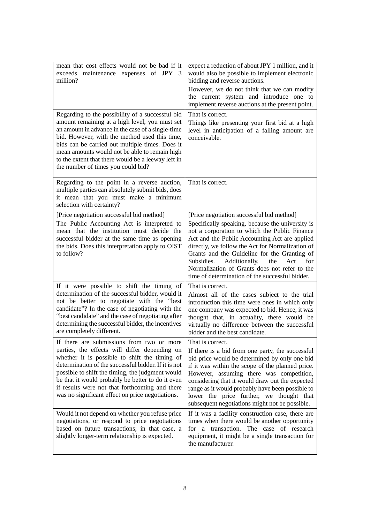| mean that cost effects would not be bad if it<br>exceeds maintenance expenses of JPY<br>3<br>million?                                                                                                                                                                                                                                                                                                              | expect a reduction of about JPY 1 million, and it<br>would also be possible to implement electronic<br>bidding and reverse auctions.<br>However, we do not think that we can modify<br>the current system and introduce one to<br>implement reverse auctions at the present point.                                                                                                                                                                          |
|--------------------------------------------------------------------------------------------------------------------------------------------------------------------------------------------------------------------------------------------------------------------------------------------------------------------------------------------------------------------------------------------------------------------|-------------------------------------------------------------------------------------------------------------------------------------------------------------------------------------------------------------------------------------------------------------------------------------------------------------------------------------------------------------------------------------------------------------------------------------------------------------|
| Regarding to the possibility of a successful bid<br>amount remaining at a high level, you must set<br>an amount in advance in the case of a single-time<br>bid. However, with the method used this time,<br>bids can be carried out multiple times. Does it<br>mean amounts would not be able to remain high<br>to the extent that there would be a leeway left in<br>the number of times you could bid?           | That is correct.<br>Things like presenting your first bid at a high<br>level in anticipation of a falling amount are<br>conceivable.                                                                                                                                                                                                                                                                                                                        |
| Regarding to the point in a reverse auction,<br>multiple parties can absolutely submit bids, does<br>it mean that you must make a minimum<br>selection with certainty?                                                                                                                                                                                                                                             | That is correct.                                                                                                                                                                                                                                                                                                                                                                                                                                            |
| [Price negotiation successful bid method]<br>The Public Accounting Act is interpreted to<br>mean that the institution must decide the<br>successful bidder at the same time as opening<br>the bids. Does this interpretation apply to OIST<br>to follow?                                                                                                                                                           | [Price negotiation successful bid method]<br>Specifically speaking, because the university is<br>not a corporation to which the Public Finance<br>Act and the Public Accounting Act are applied<br>directly, we follow the Act for Normalization of<br>Grants and the Guideline for the Granting of<br>Subsidies.<br>Additionally,<br>the<br>Act<br>for<br>Normalization of Grants does not refer to the<br>time of determination of the successful bidder. |
| If it were possible to shift the timing of<br>determination of the successful bidder, would it<br>not be better to negotiate with the "best<br>candidate"? In the case of negotiating with the<br>"best candidate" and the case of negotiating after<br>determining the successful bidder, the incentives<br>are completely different.                                                                             | That is correct.<br>Almost all of the cases subject to the trial<br>introduction this time were ones in which only<br>one company was expected to bid. Hence, it was<br>thought that, in actuality, there would be<br>virtually no difference between the successful<br>bidder and the best candidate.                                                                                                                                                      |
| If there are submissions from two or more<br>parties, the effects will differ depending on<br>whether it is possible to shift the timing of<br>determination of the successful bidder. If it is not<br>possible to shift the timing, the judgment would<br>be that it would probably be better to do it even<br>if results were not that forthcoming and there<br>was no significant effect on price negotiations. | That is correct.<br>If there is a bid from one party, the successful<br>bid price would be determined by only one bid<br>if it was within the scope of the planned price.<br>However, assuming there was competition,<br>considering that it would draw out the expected<br>range as it would probably have been possible to<br>lower the price further, we thought that<br>subsequent negotiations might not be possible.                                  |
| Would it not depend on whether you refuse price<br>negotiations, or respond to price negotiations<br>based on future transactions; in that case, a<br>slightly longer-term relationship is expected.                                                                                                                                                                                                               | If it was a facility construction case, there are<br>times when there would be another opportunity<br>transaction. The case of research<br>for<br>a<br>equipment, it might be a single transaction for<br>the manufacturer.                                                                                                                                                                                                                                 |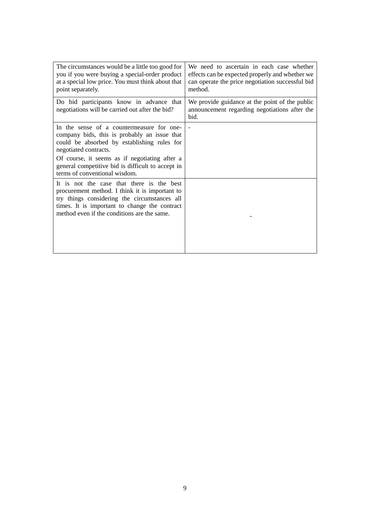| The circumstances would be a little too good for<br>you if you were buying a special-order product<br>at a special low price. You must think about that<br>point separately.                                                                                                                             | We need to ascertain in each case whether<br>effects can be expected properly and whether we<br>can operate the price negotiation successful bid<br>method. |
|----------------------------------------------------------------------------------------------------------------------------------------------------------------------------------------------------------------------------------------------------------------------------------------------------------|-------------------------------------------------------------------------------------------------------------------------------------------------------------|
| Do bid participants know in advance that<br>negotiations will be carried out after the bid?                                                                                                                                                                                                              | We provide guidance at the point of the public<br>announcement regarding negotiations after the<br>bid.                                                     |
| In the sense of a countermeasure for one-<br>company bids, this is probably an issue that<br>could be absorbed by establishing rules for<br>negotiated contracts.<br>Of course, it seems as if negotiating after a<br>general competitive bid is difficult to accept in<br>terms of conventional wisdom. |                                                                                                                                                             |
| It is not the case that there is the best<br>procurement method. I think it is important to<br>try things considering the circumstances all<br>times. It is important to change the contract<br>method even if the conditions are the same.                                                              |                                                                                                                                                             |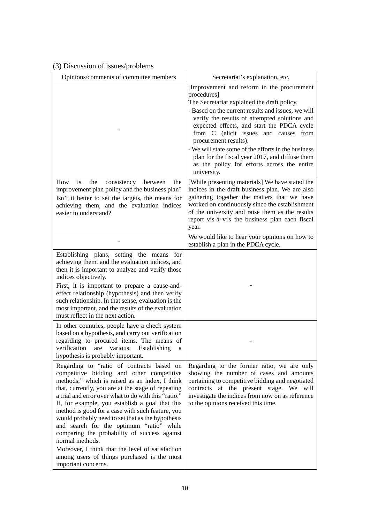| Opinions/comments of committee members                                                                                                                                                                                                                                                                                                                                                                                                                                                                                                                                                                                                                      | Secretariat's explanation, etc.                                                                                                                                                                                                                                                                                                                                                                                                                                                                         |
|-------------------------------------------------------------------------------------------------------------------------------------------------------------------------------------------------------------------------------------------------------------------------------------------------------------------------------------------------------------------------------------------------------------------------------------------------------------------------------------------------------------------------------------------------------------------------------------------------------------------------------------------------------------|---------------------------------------------------------------------------------------------------------------------------------------------------------------------------------------------------------------------------------------------------------------------------------------------------------------------------------------------------------------------------------------------------------------------------------------------------------------------------------------------------------|
|                                                                                                                                                                                                                                                                                                                                                                                                                                                                                                                                                                                                                                                             | [Improvement and reform in the procurement<br>procedures]<br>The Secretariat explained the draft policy.<br>- Based on the current results and issues, we will<br>verify the results of attempted solutions and<br>expected effects, and start the PDCA cycle<br>from C (elicit issues and causes from<br>procurement results).<br>- We will state some of the efforts in the business<br>plan for the fiscal year 2017, and diffuse them<br>as the policy for efforts across the entire<br>university. |
| is<br>How<br>the<br>consistency<br>between<br>the<br>improvement plan policy and the business plan?<br>Isn't it better to set the targets, the means for<br>achieving them, and the evaluation indices<br>easier to understand?                                                                                                                                                                                                                                                                                                                                                                                                                             | [While presenting materials] We have stated the<br>indices in the draft business plan. We are also<br>gathering together the matters that we have<br>worked on continuously since the establishment<br>of the university and raise them as the results<br>report vis-à-vis the business plan each fiscal<br>year.                                                                                                                                                                                       |
|                                                                                                                                                                                                                                                                                                                                                                                                                                                                                                                                                                                                                                                             | We would like to hear your opinions on how to<br>establish a plan in the PDCA cycle.                                                                                                                                                                                                                                                                                                                                                                                                                    |
| Establishing plans, setting the means for<br>achieving them, and the evaluation indices, and<br>then it is important to analyze and verify those<br>indices objectively.<br>First, it is important to prepare a cause-and-<br>effect relationship (hypothesis) and then verify<br>such relationship. In that sense, evaluation is the<br>most important, and the results of the evaluation<br>must reflect in the next action.                                                                                                                                                                                                                              |                                                                                                                                                                                                                                                                                                                                                                                                                                                                                                         |
| In other countries, people have a check system<br>based on a hypothesis, and carry out verification<br>regarding to procured items. The means of<br>verification are various. Establishing<br>a<br>hypothesis is probably important.                                                                                                                                                                                                                                                                                                                                                                                                                        |                                                                                                                                                                                                                                                                                                                                                                                                                                                                                                         |
| Regarding to "ratio of contracts based on<br>competitive bidding and other competitive<br>methods," which is raised as an index, I think<br>that, currently, you are at the stage of repeating<br>a trial and error over what to do with this "ratio."<br>If, for example, you establish a goal that this<br>method is good for a case with such feature, you<br>would probably need to set that as the hypothesis<br>and search for the optimum "ratio" while<br>comparing the probability of success against<br>normal methods.<br>Moreover, I think that the level of satisfaction<br>among users of things purchased is the most<br>important concerns. | Regarding to the former ratio, we are only<br>showing the number of cases and amounts<br>pertaining to competitive bidding and negotiated<br>contracts at the present stage. We will<br>investigate the indices from now on as reference<br>to the opinions received this time.                                                                                                                                                                                                                         |

## (3) Discussion of issues/problems